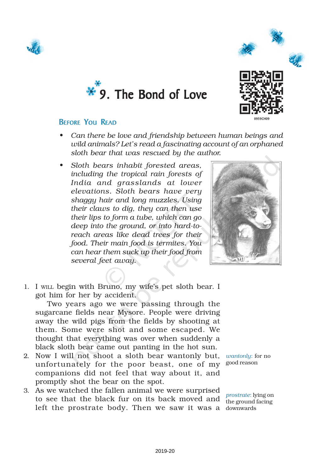





#### BEFORE YOU READ

- *• Can there be love and friendship between human beings and wild animals? Let's read a fascinating account of an orphaned sloth bear that was rescued by the author.*
- *• Sloth bears inhabit forested areas, including the tropical rain forests of India and grasslands at lower elevations. Sloth bears have very shaggy hair and long muzzles. Using their claws to dig, they can then use their lips to form a tube, which can go deep into the ground, or into hard-toreach areas like dead trees for their food. Their main food is termites. You can hear them suck up their food from several feet away.*



1. I WILL begin with Bruno, my wife's pet sloth bear. I got him for her by accident.

Two years ago we were passing through the sugarcane fields near Mysore. People were driving away the wild pigs from the fields by shooting at them. Some were shot and some escaped. We thought that everything was over when suddenly a black sloth bear came out panting in the hot sun.

- 2. Now I will not shoot a sloth bear wantonly but, unfortunately for the poor beast, one of my <sup>good reason</sup> companions did not feel that way about it, and promptly shot the bear on the spot.
- 3. As we watched the fallen animal we were surprised to see that the black fur on its back moved and left the prostrate body. Then we saw it was a downwards

*wantonly*: for no

*prostrate*: lying on the ground facing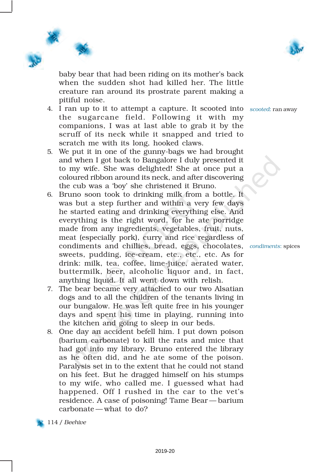

baby bear that had been riding on its mother's back when the sudden shot had killed her. The little creature ran around its prostrate parent making a pitiful noise.

- 4. I ran up to it to attempt a capture. It scooted into *scooted*: ran away the sugarcane field. Following it with my companions, I was at last able to grab it by the scruff of its neck while it snapped and tried to scratch me with its long, hooked claws.
- 5. We put it in one of the gunny-bags we had brought and when I got back to Bangalore I duly presented it to my wife. She was delighted! She at once put a coloured ribbon around its neck, and after discovering the cub was a 'boy' she christened it Bruno.
- 6. Bruno soon took to drinking milk from a bottle. It was but a step further and within a very few days he started eating and drinking everything else. And everything is the right word, for he ate porridge made from any ingredients, vegetables, fruit, nuts, meat (especially pork), curry and rice regardless of condiments and chillies, bread, eggs, chocolates, *condiments*: spices sweets, pudding, ice-cream, etc., etc., etc. As for drink: milk, tea, coffee, lime-juice, aerated water, buttermilk, beer, alcoholic liquor and, in fact, anything liquid. It all went down with relish.
- 7. The bear became very attached to our two Alsatian dogs and to all the children of the tenants living in our bungalow. He was left quite free in his younger days and spent his time in playing, running into the kitchen and going to sleep in our beds.
- 8. One day an accident befell him. I put down poison (barium carbonate) to kill the rats and mice that had got into my library. Bruno entered the library as he often did, and he ate some of the poison. Paralysis set in to the extent that he could not stand on his feet. But he dragged himself on his stumps to my wife, who called me. I guessed what had happened. Off I rushed in the car to the vet's residence. A case of poisoning! Tame Bear — barium carbonate — what to do?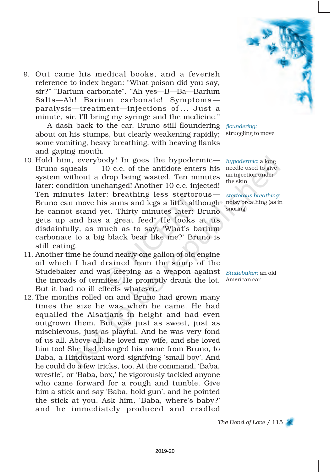9. Out came his medical books, and a feverish reference to index began: "What poison did you say, sir?" "Barium carbonate". "Ah yes—B—Ba—Barium Salts—Ah! Barium carbonate! Symptoms paralysis—treatment—injections of ... Just a minute, sir. I'll bring my syringe and the medicine."

A dash back to the car. Bruno still floundering *floundering:* about on his stumps, but clearly weakening rapidly; some vomiting, heavy breathing, with heaving flanks and gaping mouth.

- 10. Hold him, everybody! In goes the hypodermic— Bruno squeals  $-10$  c.c. of the antidote enters his system without a drop being wasted. Ten minutes later: condition unchanged! Another 10 c.c. injected! Ten minutes later: breathing less stertorous— Bruno can move his arms and legs a little although noisy breathing (as in he cannot stand yet. Thirty minutes later: Bruno gets up and has a great feed! He looks at us disdainfully, as much as to say, 'What's barium carbonate to a big black bear like me?' Bruno is still eating.
- 11. Another time he found nearly one gallon of old engine oil which I had drained from the sump of the Studebaker and was keeping as a weapon against *Studebaker*: an old the inroads of termites. He promptly drank the lot. American car But it had no ill effects whatever.
- 12. The months rolled on and Bruno had grown many times the size he was when he came. He had equalled the Alsatians in height and had even outgrown them. But was just as sweet, just as mischievous, just as playful. And he was very fond of us all. Above all, he loved my wife, and she loved him too! She had changed his name from Bruno, to Baba, a Hindustani word signifying 'small boy'. And he could do a few tricks, too. At the command, 'Baba, wrestle', or 'Baba, box,' he vigorously tackled anyone who came forward for a rough and tumble. Give him a stick and say 'Baba, hold gun', and he pointed the stick at you. Ask him, 'Baba, where's baby?' and he immediately produced and cradled



struggling to move

*hypodermic*: a long needle used to give an injection under the skin

*stertorous breathing*: snoring)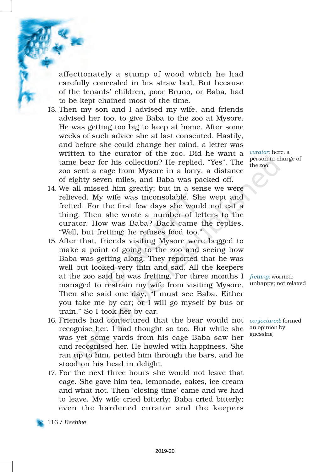affectionately a stump of wood which he had carefully concealed in his straw bed. But because of the tenants' children, poor Bruno, or Baba, had to be kept chained most of the time.

- 13. Then my son and I advised my wife, and friends advised her too, to give Baba to the zoo at Mysore. He was getting too big to keep at home. After some weeks of such advice she at last consented. Hastily, and before she could change her mind, a letter was written to the curator of the zoo. Did he want a tame bear for his collection? He replied, "Yes". The zoo sent a cage from Mysore in a lorry, a distance of eighty-seven miles, and Baba was packed off.
- 14. We all missed him greatly; but in a sense we were relieved. My wife was inconsolable. She wept and fretted. For the first few days she would not eat a thing. Then she wrote a number of letters to the curator. How was Baba? Back came the replies, "Well, but fretting; he refuses food too."
- 15. After that, friends visiting Mysore were begged to make a point of going to the zoo and seeing how Baba was getting along. They reported that he was well but looked very thin and sad. All the keepers at the zoo said he was fretting. For three months I *fretting*: worried; managed to restrain my wife from visiting Mysore. Then she said one day, "I must see Baba. Either you take me by car; or I will go myself by bus or train." So I took her by car.
- 16. Friends had conjectured that the bear would not recognise her. I had thought so too. But while she was yet some yards from his cage Baba saw her and recognised her. He howled with happiness. She ran up to him, petted him through the bars, and he stood on his head in delight.
- 17. For the next three hours she would not leave that cage. She gave him tea, lemonade, cakes, ice-cream and what not. Then 'closing time' came and we had to leave. My wife cried bitterly; Baba cried bitterly; even the hardened curator and the keepers

*curator*: here, a person in charge of the zoo

unhappy; not relaxed

*conjectured*: formed an opinion by guessing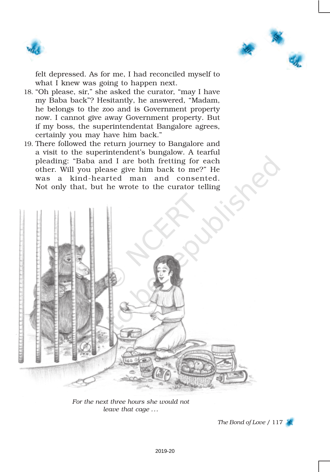



felt depressed. As for me, I had reconciled myself to what I knew was going to happen next.

- 18. "Oh please, sir," she asked the curator, "may I have my Baba back"? Hesitantly, he answered, "Madam, he belongs to the zoo and is Government property now. I cannot give away Government property. But if my boss, the superintendentat Bangalore agrees, certainly you may have him back."
- 19. There followed the return journey to Bangalore and a visit to the superintendent's bungalow. A tearful pleading: "Baba and I are both fretting for each other. Will you please give him back to me?" He was a kind-hearted man and consented. Not only that, but he wrote to the curator telling



*For the next three hours she would not leave that cage ...*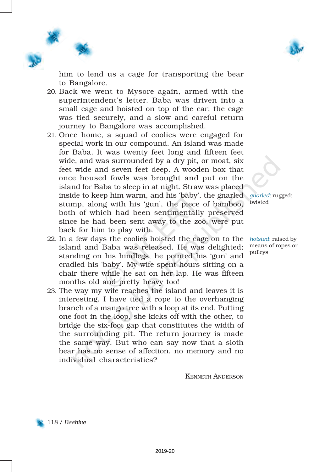

him to lend us a cage for transporting the bear to Bangalore.

- 20. Back we went to Mysore again, armed with the superintendent's letter. Baba was driven into a small cage and hoisted on top of the car; the cage was tied securely, and a slow and careful return journey to Bangalore was accomplished.
- 21. Once home, a squad of coolies were engaged for special work in our compound. An island was made for Baba. It was twenty feet long and fifteen feet wide, and was surrounded by a dry pit, or moat, six feet wide and seven feet deep. A wooden box that once housed fowls was brought and put on the island for Baba to sleep in at night. Straw was placed inside to keep him warm, and his 'baby', the gnarled *gnarled*: rugged; stump, along with his 'gun', the piece of bamboo, both of which had been sentimentally preserved since he had been sent away to the zoo, were put back for him to play with.
- 22. In a few days the coolies hoisted the cage on to the island and Baba was released. He was delighted; standing on his hindlegs, he pointed his 'gun' and cradled his 'baby'. My wife spent hours sitting on a chair there while he sat on her lap. He was fifteen months old and pretty heavy too!
- 23. The way my wife reaches the island and leaves it is interesting. I have tied a rope to the overhanging branch of a mango tree with a loop at its end. Putting one foot in the loop, she kicks off with the other, to bridge the six-foot gap that constitutes the width of the surrounding pit. The return journey is made the same way. But who can say now that a sloth bear has no sense of affection, no memory and no individual characteristics?

KENNETH ANDERSON

twisted

*hoisted*: raised by means of ropes or pulleys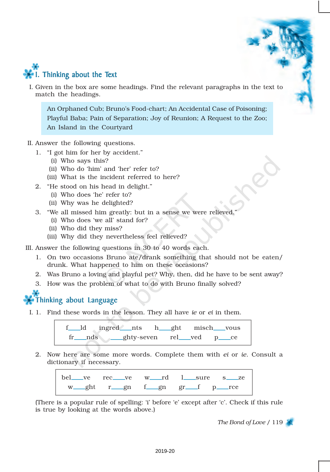

I. Given in the box are some headings. Find the relevant paragraphs in the text to match the headings.

An Orphaned Cub; Bruno's Food-chart; An Accidental Case of Poisoning; Playful Baba; Pain of Separation; Joy of Reunion; A Request to the Zoo; An Island in the Courtyard

- II. Answer the following questions.
	- 1. "I got him for her by accident."
		- (i) Who says this?
		- (ii) Who do 'him' and 'her' refer to?
		- (iii) What is the incident referred to here?
	- 2. "He stood on his head in delight."
		- (i) Who does 'he' refer to?
		- (ii) Why was he delighted?
	- 3. "We all missed him greatly: but in a sense we were relieved."
		- (i) Who does 'we all' stand for?
		- (ii) Who did they miss?
		- (iii) Why did they nevertheless feel relieved?

III. Answer the following questions in 30 to 40 words each.

- 1. On two occasions Bruno ate/drank something that should not be eaten/ drunk. What happened to him on these occasions?
- 2. Was Bruno a loving and playful pet? Why, then, did he have to be sent away?
- 3. How was the problem of what to do with Bruno finally solved?

### Thinking about Language

I. 1. Find these words in the lesson. They all have *ie* or *ei* in them.

f ld ingred nts h ght misch vous fr\_\_nds \_\_ghty-seven rel\_ved p\_ce

2. Now here are some more words. Complete them with *ei* or *ie*. Consult a dictionary if necessary.

|  |  |  |  | bel ve rec ve w rd l sure s ze |
|--|--|--|--|--------------------------------|
|  |  |  |  | w_ght r_gn f_gn gr_f p_rce     |

(There is a popular rule of spelling: 'i' before 'e' except after 'c'. Check if this rule is true by looking at the words above.)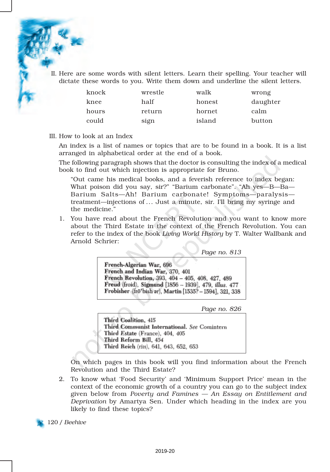II. Here are some words with silent letters. Learn their spelling. Your teacher will dictate these words to you. Write them down and underline the silent letters.

| knock | wrestle | walk   | wrong    |
|-------|---------|--------|----------|
| knee  | half    | honest | daughter |
| hours | return  | hornet | calm     |
| could | sign    | island | button   |

III. How to look at an Index

An index is a list of names or topics that are to be found in a book. It is a list arranged in alphabetical order at the end of a book.

The following paragraph shows that the doctor is consulting the index of a medical book to find out which injection is appropriate for Bruno.

"Out came his medical books, and a feverish reference to index began: What poison did you say, sir?" "Barium carbonate". "Ah yes—B—Ba— Barium Salts—Ah! Barium carbonate! Symptoms—paralysis treatment—injections of ... Just a minute, sir. I'll bring my syringe and the medicine."

1. You have read about the French Revolution and you want to know more about the Third Estate in the context of the French Revolution. You can refer to the index of the book *Living World History* by T. Walter Wallbank and Arnold Schrier:

*Page no. 813*

French-Algerian War, 696 French and Indian War, 370, 401 French Revolution, 393, 404 - 405, 408, 427, 489 Freud (froid), Sigmund [1856 - 1939], 479, *illus*, 477 Frobisher (frōʻbish ər), Martin [1535? – 1594], 321, 338

*Page no. 826*

Third Coalition, 415 Third Communist International. See Comintern Third Estate (France), 404, 405 Third Reform Bill, 454 Third Reich (rīH), 641, 643, 652, 653

On which pages in this book will you find information about the French Revolution and the Third Estate?

2. To know what 'Food Security' and 'Minimum Support Price' mean in the context of the economic growth of a country you can go to the subject index given below from *Poverty and Famines — An Essay on Entitlement and Deprivation* by Amartya Sen. Under which heading in the index are you likely to find these topics?

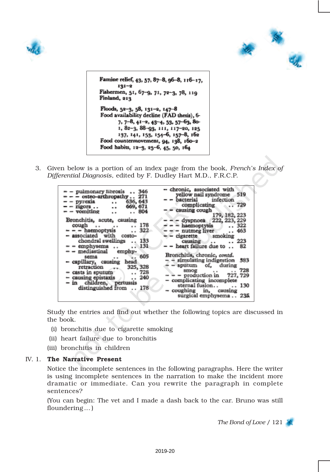



Famine relief, 43, 57, 87-8, 96-8, 116-17,  $131 - 2$ Fishermen, 51, 67-9, 71, 72-3, 78, 119 Finland, 213 Floods, 52-3, 58, 131-2, 147-8 Food availability decline (FAD thesis), 6-7, 7-8, 41-2, 43-4, 53, 57-63, 80-1, 82-3, 88-93, 111, 117-20, 125 137, 141, 153, 154-6, 157-8, 162 Food countermovement, 94, 138, 160-2 Food habits, 12-3, 25-6, 45, 50, 164

3. Given below is a portion of an index page from the book, *French's Index of Differential Diagnosis*, edited by F. Dudley Hart M.D., F.R.C.P.

| $-$ pulmonary fibrosis $\ldots$ 346<br>$=  -$ osteo-arthropathy 271<br>- - pyrexia - 636, 643<br>- - rigors 669, 671<br>- - vomiting  804<br>Bronchitis, acute, causing<br>cough 178<br>$- - -$ haemoptysis  322<br>- associated with costo-<br>chondral swellings  133<br>- emphysema  131<br>$-$ - mediastinal emphy-<br>sema 605<br>- capillary, causing head<br>retraction 325, 328<br>- casts in sputum<br>- causing epistaxis  240<br>- in children, pertussis<br>distinguished from  178 | -- chronic, associated with<br>yellow nail syndrome 519<br>- - bacterial infection<br>complicating  729<br>- causing cough $179, 182, 223$<br>$ -$ dyspnoea 222, 223, 229<br>$ -$ haemoptysis $.322$<br>$ -$ nutmeg liver $.463$<br>$\leftarrow$ - cigarette smoking<br>causing  223<br>$-$ - heart failure due to  82<br>Bronchitis, chronic, contd.<br>$ +$ simulating indigestion 583<br>$\sim$ - sputum of, during<br>$-$ = $\frac{3m}{2}$ = production in 727, 729<br>- complicating incomplete<br>sternal fusion 130<br>- coughing in, causing<br>surgical emphysema235. |
|-------------------------------------------------------------------------------------------------------------------------------------------------------------------------------------------------------------------------------------------------------------------------------------------------------------------------------------------------------------------------------------------------------------------------------------------------------------------------------------------------|--------------------------------------------------------------------------------------------------------------------------------------------------------------------------------------------------------------------------------------------------------------------------------------------------------------------------------------------------------------------------------------------------------------------------------------------------------------------------------------------------------------------------------------------------------------------------------|
|                                                                                                                                                                                                                                                                                                                                                                                                                                                                                                 |                                                                                                                                                                                                                                                                                                                                                                                                                                                                                                                                                                                |

Study the entries and find out whether the following topics are discussed in the book.

- (i) bronchitis due to cigarette smoking
- (ii) heart failure due to bronchitis
- (iii) bronchitis in children

#### IV. 1. The Narrative Present

Notice the incomplete sentences in the following paragraphs. Here the writer is using incomplete sentences in the narration to make the incident more dramatic or immediate. Can you rewrite the paragraph in complete sentences?

(You can begin: The vet and I made a dash back to the car. Bruno was still floundering ... )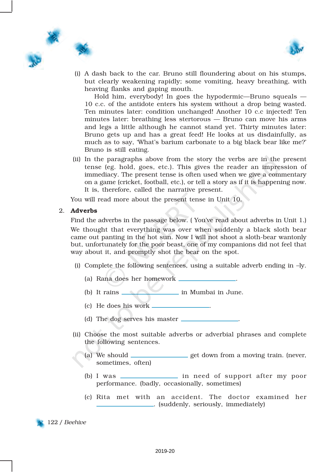



(i) A dash back to the car. Bruno still floundering about on his stumps, but clearly weakening rapidly; some vomiting, heavy breathing, with heaving flanks and gaping mouth.

Hold him, everybody! In goes the hypodermic—Bruno squeals — 10 c.c. of the antidote enters his system without a drop being wasted. Ten minutes later: condition unchanged! Another 10 c.c injected! Ten minutes later: breathing less stertorous — Bruno can move his arms and legs a little although he cannot stand yet. Thirty minutes later: Bruno gets up and has a great feed! He looks at us disdainfully, as much as to say, 'What's barium carbonate to a big black bear like me?' Bruno is still eating.

(ii) In the paragraphs above from the story the verbs are in the present tense (eg. hold, goes, etc.). This gives the reader an impression of immediacy. The present tense is often used when we give a commentary on a game (cricket, football, etc.), or tell a story as if it is happening now. It is, therefore, called the narrative present.

You will read more about the present tense in Unit 10.

#### 2. Adverbs

Find the adverbs in the passage below. ( You've read about adverbs in Unit 1.) We thought that everything was over when suddenly a black sloth bear came out panting in the hot sun. Now I will not shoot a sloth-bear wantonly but, unfortunately for the poor beast, one of my companions did not feel that way about it, and promptly shot the bear on the spot.

- (i) Complete the following sentences, using a suitable adverb ending in  $-ly$ .
	- (a) Rana does her homework .
	- (b) It rains in Mumbai in June.
	- (c) He does his work .
	- (d) The dog serves his master  $\Box$
- (ii) Choose the most suitable adverbs or adverbial phrases and complete the following sentences.
	- (a) We should \_\_\_\_\_\_\_\_\_\_\_\_\_\_\_\_\_ get down from a moving train. (never, sometimes, often)
		- (b) I was \_\_\_\_\_\_\_\_\_\_\_\_\_\_\_\_ in need of support after my poor performance. (badly, occasionally, sometimes)
		- (c) Rita met with an accident. The doctor examined her . (suddenly, seriously, immediately)

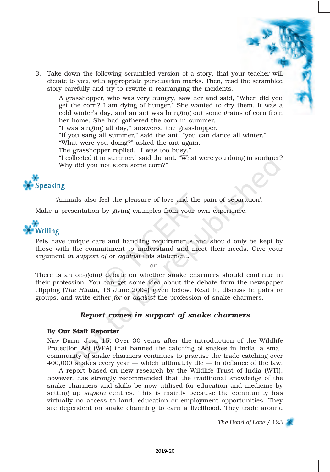3. Take down the following scrambled version of a story, that your teacher will dictate to you, with appropriate punctuation marks. Then, read the scrambled story carefully and try to rewrite it rearranging the incidents.

A grasshopper, who was very hungry, saw her and said, "When did you get the corn? I am dying of hunger." She wanted to dry them. It was a cold winter's day, and an ant was bringing out some grains of corn from her home. She had gathered the corn in summer.

"I was singing all day," answered the grasshopper.

"If you sang all summer," said the ant, "you can dance all winter."

"What were you doing?" asked the ant again.

The grasshopper replied, "I was too busy."

"I collected it in summer," said the ant. "What were you doing in summer? Why did you not store some corn?"



'Animals also feel the pleasure of love and the pain of separation'.

Make a presentation by giving examples from your own experience.



Pets have unique care and handling requirements and should only be kept by those with the commitment to understand and meet their needs. Give your argument *in support of* or *against* this statement.

or

There is an on-going debate on whether snake charmers should continue in their profession. You can get some idea about the debate from the newspaper clipping (*The Hindu*, 16 June 2004) given below. Read it, discuss in pairs or groups, and write either *for* or *against* the profession of snake charmers.

#### *Report comes in support of snake charmers*

#### By Our Staff Reporter

NEW DELHI, JUNE 15. Over 30 years after the introduction of the Wildlife Protection Act (WPA) that banned the catching of snakes in India, a small community of snake charmers continues to practise the trade catching over 400,000 snakes every year — which ultimately die — in defiance of the law.

A report based on new research by the Wildlife Trust of India (WTI), however, has strongly recommended that the traditional knowledge of the snake charmers and skills be now utilised for education and medicine by setting up *sapera* centres. This is mainly because the community has virtually no access to land, education or employment opportunities. They are dependent on snake charming to earn a livelihood. They trade around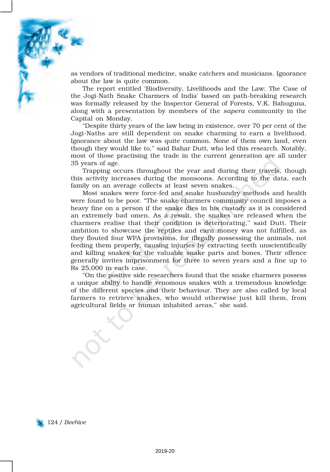

as vendors of traditional medicine, snake catchers and musicians. Ignorance about the law is quite common.

The report entitled 'Biodiversity, Livelihoods and the Law: The Case of the Jogi-Nath Snake Charmers of India' based on path-breaking research was formally released by the Inspector General of Forests, V.K. Bahuguna, along with a presentation by members of the *sapera* community in the Capital on Monday.

"Despite thirty years of the law being in existence, over 70 per cent of the Jogi-Naths are still dependent on snake charming to earn a livelihood. Ignorance about the law was quite common. None of them own land, even though they would like to,'' said Bahar Dutt, who led this research. Notably, most of those practising the trade in the current generation are all under 35 years of age.

Trapping occurs throughout the year and during their travels, though this activity increases during the monsoons. According to the data, each family on an average collects at least seven snakes.

Most snakes were force-fed and snake husbandry methods and health were found to be poor. "The snake charmers community council imposes a heavy fine on a person if the snake dies in his custody as it is considered an extremely bad omen. As a result, the snakes are released when the charmers realise that their condition is deteriorating,'' said Dutt. Their ambition to showcase the reptiles and earn money was not fulfilled, as they flouted four WPA provisions, for illegally possessing the animals, not feeding them properly, causing injuries by extracting teeth unscientifically and killing snakes for the valuable snake parts and bones. Their offence generally invites imprisonment for three to seven years and a fine up to Rs 25,000 in each case.

"On the positive side researchers found that the snake charmers possess a unique ability to handle venomous snakes with a tremendous knowledge of the different species and their behaviour. They are also called by local farmers to retrieve snakes, who would otherwise just kill them, from agricultural fields or human inhabited areas,'' she said.

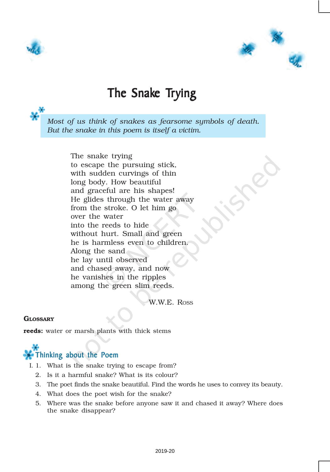



## The Snake Trying

*Most of us think of snakes as fearsome symbols of death. But the snake in this poem is itself a victim.*

> The snake trying to escape the pursuing stick, with sudden curvings of thin long body. How beautiful and graceful are his shapes! He glides through the water away from the stroke. O let him go over the water into the reeds to hide without hurt. Small and green he is harmless even to children. Along the sand he lay until observed and chased away, and now he vanishes in the ripples among the green slim reeds.

> > W.W.E. ROSS

#### **GLOSSARY**

reeds: water or marsh plants with thick stems

# Thinking about the Poem

- I. 1. What is the snake trying to escape from?
	- 2. Is it a harmful snake? What is its colour?
	- 3. The poet finds the snake beautiful. Find the words he uses to convey its beauty.
	- 4. What does the poet wish for the snake?
	- 5. Where was the snake before anyone saw it and chased it away? Where does the snake disappear?